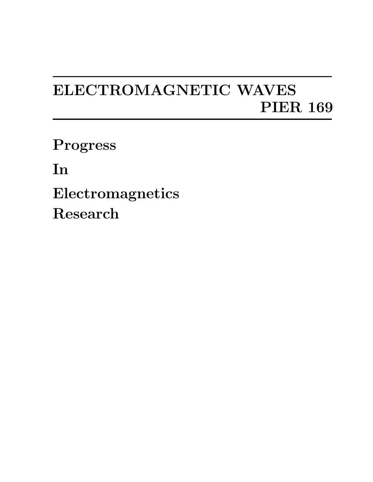## ELECTROMAGNETIC WAVES PIER 169

Progress

In

Electromagnetics Research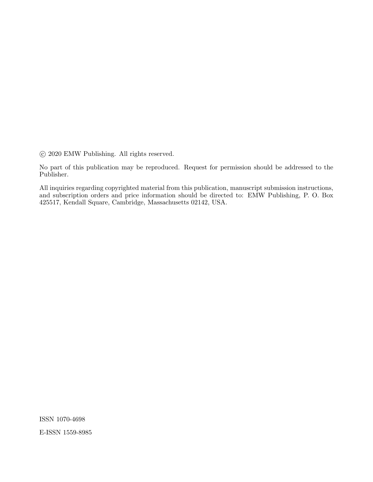°c 2020 EMW Publishing. All rights reserved.

No part of this publication may be reproduced. Request for permission should be addressed to the Publisher.

All inquiries regarding copyrighted material from this publication, manuscript submission instructions, and subscription orders and price information should be directed to: EMW Publishing, P. O. Box 425517, Kendall Square, Cambridge, Massachusetts 02142, USA.

ISSN 1070-4698 E-ISSN 1559-8985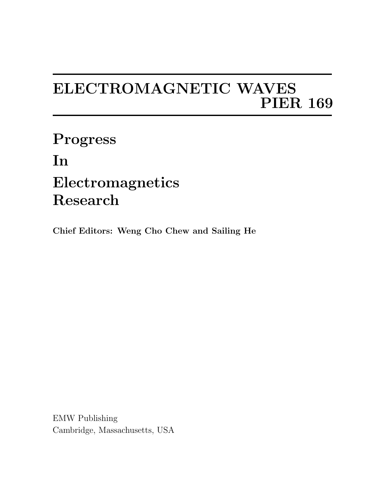## ELECTROMAGNETIC WAVES PIER 169

Progress In Electromagnetics Research

Chief Editors: Weng Cho Chew and Sailing He

EMW Publishing Cambridge, Massachusetts, USA